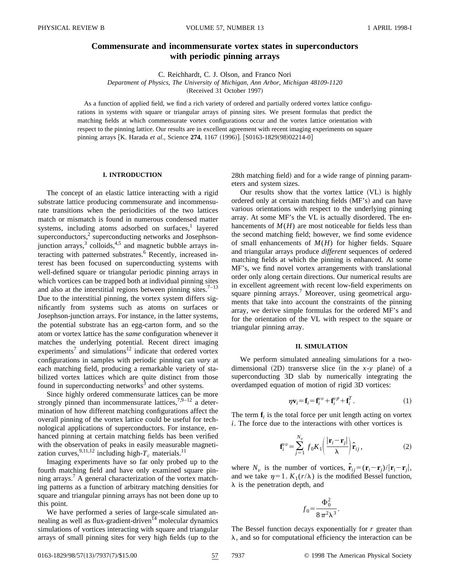# **Commensurate and incommensurate vortex states in superconductors with periodic pinning arrays**

C. Reichhardt, C. J. Olson, and Franco Nori

*Department of Physics, The University of Michigan, Ann Arbor, Michigan 48109-1120*

(Received 31 October 1997)

As a function of applied field, we find a rich variety of ordered and partially ordered vortex lattice configurations in systems with square or triangular arrays of pinning sites. We present formulas that predict the matching fields at which commensurate vortex configurations occur and the vortex lattice orientation with respect to the pinning lattice. Our results are in excellent agreement with recent imaging experiments on square pinning arrays [K. Harada et al., Science 274, 1167 (1996)]. [S0163-1829(98)02214-0]

### **I. INTRODUCTION**

The concept of an elastic lattice interacting with a rigid substrate lattice producing commensurate and incommensurate transitions when the periodicities of the two lattices match or mismatch is found in numerous condensed matter systems, including atoms adsorbed on surfaces, $<sup>1</sup>$  layered</sup> superconductors,<sup>2</sup> superconducting networks and Josephsonjunction arrays,<sup>3</sup> colloids,<sup>4,5</sup> and magnetic bubble arrays interacting with patterned substrates.<sup>6</sup> Recently, increased interest has been focused on superconducting systems with well-defined square or triangular periodic pinning arrays in which vortices can be trapped both at individual pinning sites and also at the interstitial regions between pinning sites.<sup>7–13</sup> Due to the interstitial pinning, the vortex system differs significantly from systems such as atoms on surfaces or Josephson-junction arrays. For instance, in the latter systems, the potential substrate has an egg-carton form, and so the atom or vortex lattice has the *same* configuration whenever it matches the underlying potential. Recent direct imaging experiments<sup>7</sup> and simulations<sup>12</sup> indicate that ordered vortex configurations in samples with periodic pinning can *vary* at each matching field, producing a remarkable variety of stabilized vortex lattices which are quite distinct from those found in superconducting networks<sup>3</sup> and other systems.

Since highly ordered commensurate lattices can be more strongly pinned than incommensurate lattices,  $7,9-12$  a determination of how different matching configurations affect the overall pinning of the vortex lattice could be useful for technological applications of superconductors. For instance, enhanced pinning at certain matching fields has been verified with the observation of peaks in easily measurable magnetization curves,  $9,11,12$  including high- $T_c$  materials.<sup>11</sup>

Imaging experiments have so far only probed up to the fourth matching field and have only examined square pinning arrays.<sup>7</sup> A general characterization of the vortex matching patterns as a function of arbitrary matching densities for square and triangular pinning arrays has not been done up to this point.

We have performed a series of large-scale simulated annealing as well as flux-gradient-driven<sup>14</sup> molecular dynamics simulations of vortices interacting with square and triangular arrays of small pinning sites for very high fields (up to the 28th matching field) and for a wide range of pinning parameters and system sizes.

Our results show that the vortex lattice  $(V<sub>L</sub>)$  is highly ordered only at certain matching fields (MF's) and can have various orientations with respect to the underlying pinning array. At some MF's the VL is actually disordered. The enhancements of  $M(H)$  are most noticeable for fields less than the second matching field; however, we find some evidence of small enhancements of *M*(*H*) for higher fields. Square and triangular arrays produce *different* sequences of ordered matching fields at which the pinning is enhanced. At some MF's, we find novel vortex arrangements with translational order only along certain directions. Our numerical results are in excellent agreement with recent low-field experiments on square pinning arrays.<sup>7</sup> Moreover, using geometrical arguments that take into account the constraints of the pinning array, we derive simple formulas for the ordered MF's and for the orientation of the VL with respect to the square or triangular pinning array.

#### **II. SIMULATION**

We perform simulated annealing simulations for a twodimensional  $(2D)$  transverse slice (in the *x*-*y* plane) of a superconducting 3D slab by numerically integrating the overdamped equation of motion of rigid 3D vortices:

$$
\eta \mathbf{v}_i = \mathbf{f}_i = \mathbf{f}_i^{\nu \nu} + \mathbf{f}_i^{\nu \rho} + \mathbf{f}_i^T. \tag{1}
$$

The term  $f_i$  is the total force per unit length acting on vortex *i*. The force due to the interactions with other vortices is

$$
\mathbf{f}_{i}^{vv} = \sum_{j=1}^{N_v} f_0 K_1 \left( \frac{|\mathbf{r}_i - \mathbf{r}_j|}{\lambda} \right) \hat{\mathbf{r}}_{ij},
$$
 (2)

where  $N_v$  is the number of vortices,  $\hat{\mathbf{r}}_{ij} = (\mathbf{r}_i - \mathbf{r}_j)/|\mathbf{r}_i - \mathbf{r}_j|$ , and we take  $\eta=1$ .  $K_1(r/\lambda)$  is the modified Bessel function,  $\lambda$  is the penetration depth, and

$$
f_0 = \frac{\Phi_0^2}{8\,\pi^2\lambda^3}.
$$

The Bessel function decays exponentially for *r* greater than  $\lambda$ , and so for computational efficiency the interaction can be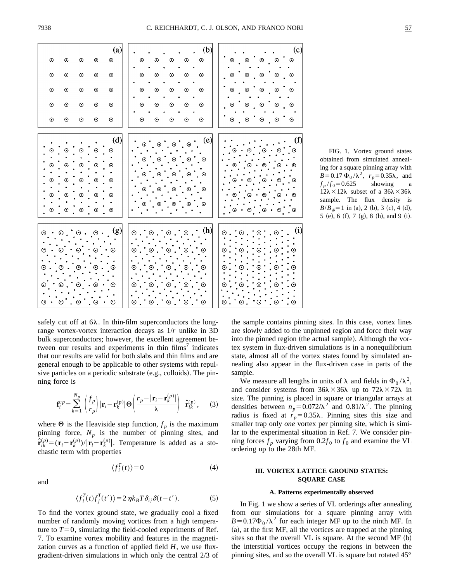

FIG. 1. Vortex ground states obtained from simulated annealing for a square pinning array with  $B=0.17 \Phi_0 / \lambda^2$ ,  $r_p=0.35\lambda$ , and  $f_p / f_0 = 0.625$  showing a  $12\lambda \times 12\lambda$  subset of a  $36\lambda \times 36\lambda$ sample. The flux density is  $B/B_{\phi} = 1$  in (a), 2 (b), 3 (c), 4 (d), 5  $(e)$ , 6  $(f)$ , 7  $(g)$ , 8  $(h)$ , and 9  $(i)$ .

safely cut off at  $6\lambda$ . In thin-film superconductors the longrange vortex-vortex interaction decays as 1/*r* unlike in 3D bulk superconductors; however, the excellent agreement between our results and experiments in thin  $\text{films}^7$  indicates that our results are valid for both slabs and thin films and are general enough to be applicable to other systems with repulsive particles on a periodic substrate  $(e.g.,$  colloids). The pinning force is

$$
\mathbf{f}_{i}^{vp} = \sum_{k=1}^{N_p} \left( \frac{f_p}{r_p} \right) |\mathbf{r}_i - \mathbf{r}_k^{(p)}| \Theta \left( \frac{r_p - |\mathbf{r}_i - \mathbf{r}_k^{(p)}|}{\lambda} \right) \hat{\mathbf{r}}_{ik}^{(p)}, \quad (3)
$$

where  $\Theta$  is the Heaviside step function,  $f_p$  is the maximum pinning force,  $N_p$  is the number of pinning sites, and  $\hat{\mathbf{r}}_{ik}^{(p)} = (\mathbf{r}_i - \mathbf{r}_k^{(p)})/|\mathbf{r}_i - \mathbf{r}_k^{(p)}|$ . Temperature is added as a stochastic term with properties

$$
\langle f_i^T(t) \rangle = 0 \tag{4}
$$

and

$$
\langle f_i^T(t)f_j^T(t')\rangle = 2\eta k_B T \delta_{ij} \delta(t - t'). \tag{5}
$$

To find the vortex ground state, we gradually cool a fixed number of randomly moving vortices from a high temperature to  $T=0$ , simulating the field-cooled experiments of Ref. 7. To examine vortex mobility and features in the magnetization curves as a function of applied field *H*, we use fluxgradient-driven simulations in which only the central 2/3 of the sample contains pinning sites. In this case, vortex lines are slowly added to the unpinned region and force their way into the pinned region (the actual sample). Although the vortex system in flux-driven simulations is in a nonequilibrium state, almost all of the vortex states found by simulated annealing also appear in the flux-driven case in parts of the sample.

We measure all lengths in units of  $\lambda$  and fields in  $\Phi_0 / \lambda^2$ , and consider systems from  $36\lambda \times 36\lambda$  up to  $72\lambda \times 72\lambda$  in size. The pinning is placed in square or triangular arrays at densities between  $n_p=0.072/\lambda^2$  and  $0.81/\lambda^2$ . The pinning radius is fixed at  $r_p = 0.35\lambda$ . Pinning sites this size and smaller trap only *one* vortex per pinning site, which is similar to the experimental situation in Ref. 7. We consider pinning forces  $f_p$  varying from 0.2 $f_0$  to  $f_0$  and examine the VL ordering up to the 28th MF.

# **III. VORTEX LATTICE GROUND STATES: SQUARE CASE**

## **A. Patterns experimentally observed**

In Fig. 1 we show a series of VL orderings after annealing from our simulations for a square pinning array with  $B=0.17\Phi_0/\lambda^2$  for each integer MF up to the ninth MF. In  $(a)$ , at the first MF, all the vortices are trapped at the pinning sites so that the overall  $VL$  is square. At the second  $MF (b)$ the interstitial vortices occupy the regions in between the pinning sites, and so the overall VL is square but rotated 45°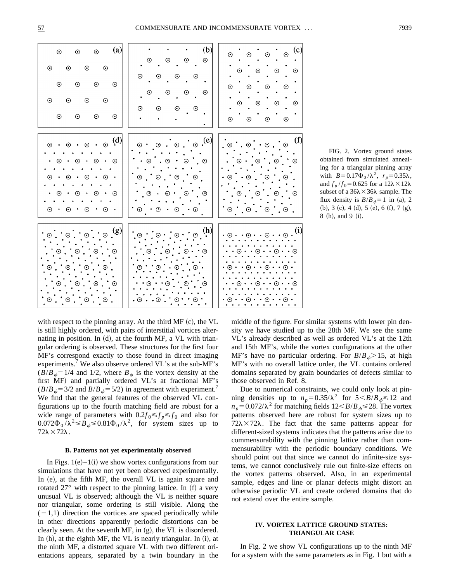

FIG. 2. Vortex ground states obtained from simulated annealing for a triangular pinning array with  $B=0.17\Phi_0/\lambda^2$ ,  $r_p=0.35\lambda$ , and  $f_p/f_0 = 0.625$  for a  $12\lambda \times 12\lambda$ subset of a  $36\lambda \times 36\lambda$  sample. The flux density is  $B/B_{\phi}=1$  in (a), 2  $(b), 3$   $(c), 4$   $(d), 5$   $(e), 6$   $(f), 7$   $(g),$  $8$  (h), and 9 (i).

with respect to the pinning array. At the third  $MF (c)$ , the VL is still highly ordered, with pairs of interstitial vortices alternating in position. In  $(d)$ , at the fourth MF, a VL with triangular ordering is observed. These structures for the first four MF's correspond exactly to those found in direct imaging experiments.<sup>7</sup> We also observe ordered VL's at the sub-MF's  $(B/B<sub>6</sub>=1/4$  and 1/2, where  $B<sub>6</sub>$  is the vortex density at the first MF) and partially ordered VL's at fractional MF's  $(B/B<sub>6</sub>=3/2$  and  $B/B<sub>6</sub>=5/2$ ) in agreement with experiment.<sup>7</sup> We find that the general features of the observed VL configurations up to the fourth matching field are robust for a wide range of parameters with  $0.2 f_0 \leq f_p \leq f_0$  and also for  $0.072\Phi_0/\lambda^2 \leq B_\phi \leq 0.81\Phi_0/\lambda^2$ , for system sizes up to  $72\lambda \times 72\lambda$ .

#### **B. Patterns not yet experimentally observed**

In Figs.  $1(e)$ – $1(i)$  we show vortex configurations from our simulations that have not yet been observed experimentally. In  $(e)$ , at the fifth MF, the overall VL is again square and rotated  $27^{\circ}$  with respect to the pinning lattice. In (f) a very unusual VL is observed; although the VL is neither square nor triangular, some ordering is still visible. Along the  $(-1,1)$  direction the vortices are spaced periodically while in other directions apparently periodic distortions can be clearly seen. At the seventh MF, in  $(g)$ , the VL is disordered. In  $(h)$ , at the eighth MF, the VL is nearly triangular. In  $(i)$ , at the ninth MF, a distorted square VL with two different orientations appears, separated by a twin boundary in the middle of the figure. For similar systems with lower pin density we have studied up to the 28th MF. We see the same VL's already described as well as ordered VL's at the 12th and 15th MF's, while the vortex configurations at the other MF's have no particular ordering. For  $B/B_{\phi} > 15$ , at high MF's with no overall lattice order, the VL contains ordered domains separated by grain boundaries of defects similar to those observed in Ref. 8.

Due to numerical constraints, we could only look at pinning densities up to  $n_p = 0.35/\lambda^2$  for  $5 < B/B$ <sub>*b*</sub> $\le 12$  and  $n_p = 0.072/\lambda^2$  for matching fields  $12 \leq B/B$ <sub> $\phi \leq 28$ . The vortex</sub> patterns observed here are robust for system sizes up to  $72\lambda \times 72\lambda$ . The fact that the same patterns appear for different-sized systems indicates that the patterns arise due to commensurability with the pinning lattice rather than commensurability with the periodic boundary conditions. We should point out that since we cannot do infinite-size systems, we cannot conclusively rule out finite-size effects on the vortex patterns observed. Also, in an experimental sample, edges and line or planar defects might distort an otherwise periodic VL and create ordered domains that do not extend over the entire sample.

# **IV. VORTEX LATTICE GROUND STATES: TRIANGULAR CASE**

In Fig. 2 we show VL configurations up to the ninth MF for a system with the same parameters as in Fig. 1 but with a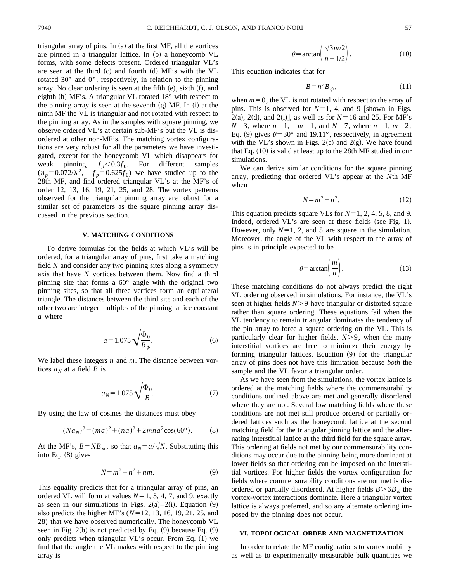triangular array of pins. In  $(a)$  at the first MF, all the vortices are pinned in a triangular lattice. In (b) a honeycomb VL forms, with some defects present. Ordered triangular VL's are seen at the third  $(c)$  and fourth  $(d)$  MF's with the VL rotated 30° and 0°, respectively, in relation to the pinning array. No clear ordering is seen at the fifth  $(e)$ , sixth  $(f)$ , and eighth (h) MF's. A triangular VL rotated  $18^\circ$  with respect to the pinning array is seen at the seventh  $(g)$  MF. In  $(i)$  at the ninth MF the VL is triangular and not rotated with respect to the pinning array. As in the samples with square pinning, we observe ordered VL's at certain sub-MF's but the VL is disordered at other non-MF's. The matching vortex configurations are very robust for all the parameters we have investigated, except for the honeycomb VL which disappears for weak pinning,  $f_p < 0.3 f_0$ . For different samples  $(n_p=0.072/\lambda^2, f_p=0.625f_0)$  we have studied up to the 28th MF, and find ordered triangular VL's at the MF's of order 12, 13, 16, 19, 21, 25, and 28. The vortex patterns observed for the triangular pinning array are robust for a similar set of parameters as the square pinning array discussed in the previous section.

### **V. MATCHING CONDITIONS**

To derive formulas for the fields at which VL's will be ordered, for a triangular array of pins, first take a matching field *N* and consider any two pinning sites along a symmetry axis that have *N* vortices between them. Now find a third pinning site that forms a 60° angle with the original two pinning sites, so that all three vertices form an equilateral triangle. The distances between the third site and each of the other two are integer multiples of the pinning lattice constant *a* where

$$
a = 1.075 \sqrt{\frac{\Phi_0}{B_\phi}}.\tag{6}
$$

We label these integers *n* and *m*. The distance between vortices  $a_N$  at a field *B* is

$$
a_N = 1.075 \sqrt{\frac{\Phi_0}{B}}.\t(7)
$$

By using the law of cosines the distances must obey

$$
(Na_N)^2 = (ma)^2 + (na)^2 + 2mna^2\cos(60^\circ). \tag{8}
$$

At the MF's,  $B = NB_{\phi}$ , so that  $a_N = a/\sqrt{N}$ . Substituting this into Eq.  $(8)$  gives

$$
N = m^2 + n^2 + nm.
$$
 (9)

This equality predicts that for a triangular array of pins, an ordered VL will form at values  $N=1, 3, 4, 7$ , and 9, exactly as seen in our simulations in Figs.  $2(a)-2(i)$ . Equation (9) also predicts the higher MF's  $(N=12, 13, 16, 19, 21, 25,$  and 28) that we have observed numerically. The honeycomb VL seen in Fig.  $2(b)$  is not predicted by Eq.  $(9)$  because Eq.  $(9)$ only predicts when triangular  $VL$ 's occur. From Eq.  $(1)$  we find that the angle the VL makes with respect to the pinning array is

$$
\theta = \arctan\left(\frac{\sqrt{3}m/2}{n+1/2}\right). \tag{10}
$$

This equation indicates that for

$$
B = n^2 B_{\phi},\tag{11}
$$

when  $m=0$ , the VL is not rotated with respect to the array of pins. This is observed for  $N=1$ , 4, and 9 [shown in Figs.  $2(a)$ ,  $2(d)$ , and  $2(i)$ ], as well as for  $N=16$  and 25. For MF's  $N=3$ , where  $n=1$ ,  $m=1$ , and  $N=7$ , where  $n=1$ ,  $m=2$ , Eq. (9) gives  $\theta$ =30° and 19.11°, respectively, in agreement with the VL's shown in Figs. 2(c) and 2(g). We have found that Eq.  $(10)$  is valid at least up to the 28th MF studied in our simulations.

We can derive similar conditions for the square pinning array, predicting that ordered VL's appear at the *N*th MF when

$$
N = m^2 + n^2. \tag{12}
$$

This equation predicts square VLs for  $N=1, 2, 4, 5, 8$ , and 9. Indeed, ordered VL's are seen at these fields (see Fig. 1). However, only  $N=1, 2$ , and 5 are square in the simulation. Moreover, the angle of the VL with respect to the array of pins is in principle expected to be

$$
\theta = \arctan\left(\frac{m}{n}\right). \tag{13}
$$

These matching conditions do not always predict the right VL ordering observed in simulations. For instance, the VL's seen at higher fields *N*>9 have triangular or distorted square rather than square ordering. These equations fail when the VL tendency to remain triangular dominates the tendency of the pin array to force a square ordering on the VL. This is particularly clear for higher fields,  $N>9$ , when the many interstitial vortices are free to minimize their energy by forming triangular lattices. Equation  $(9)$  for the triangular array of pins does not have this limitation because *both* the sample and the VL favor a triangular order.

As we have seen from the simulations, the vortex lattice is ordered at the matching fields where the commensurability conditions outlined above are met and generally disordered where they are not. Several low matching fields where these conditions are not met still produce ordered or partially ordered lattices such as the honeycomb lattice at the second matching field for the triangular pinning lattice and the alternating interstitial lattice at the third field for the square array. This ordering at fields not met by our commensurability conditions may occur due to the pinning being more dominant at lower fields so that ordering can be imposed on the interstitial vortices. For higher fields the vortex configuration for fields where commensurability conditions are not met is disordered or partially disordered. At higher fields  $B > 6B<sub>6</sub>$  the vortex-vortex interactions dominate. Here a triangular vortex lattice is always preferred, and so any alternate ordering imposed by the pinning does not occur.

# **VI. TOPOLOGICAL ORDER AND MAGNETIZATION**

In order to relate the MF configurations to vortex mobility as well as to experimentally measurable bulk quantities we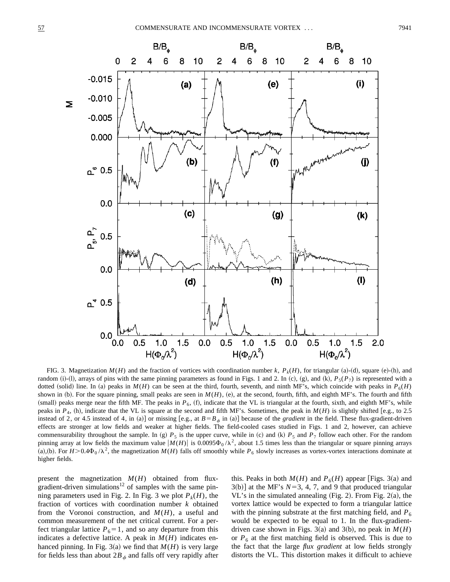

FIG. 3. Magnetization  $M(H)$  and the fraction of vortices with coordination number  $k$ ,  $P_k(H)$ , for triangular (a)-(d), square (e)-(h), and random (i)-(l), arrays of pins with the same pinning parameters as found in Figs. 1 and 2. In (c), (g), and (k),  $P_5(P_7)$  is represented with a dotted (solid) line. In (a) peaks in  $M(H)$  can be seen at the third, fourth, seventh, and ninth MF's, which coincide with peaks in  $P_6(H)$ shown in (b). For the square pinning, small peaks are seen in  $M(H)$ , (e), at the second, fourth, fifth, and eighth MF's. The fourth and fifth (small) peaks merge near the fifth MF. The peaks in  $P_6$ , (f), indicate that the VL is triangular at the fourth, sixth, and eighth MF's, while peaks in  $P_4$ , (h), indicate that the VL is square at the second and fifth MF's. Sometimes, the peak in  $M(H)$  is slightly shifted [e.g., to 2.5 instead of 2, or 4.5 instead of 4, in (a)] or missing [e.g., at  $B = B_{\phi}$  in (a)] because of the *gradient* in the field. These flux-gradient-driven effects are stronger at low fields and weaker at higher fields. The field-cooled cases studied in Figs. 1 and 2, however, can achieve commensurability throughout the sample. In (g)  $P_5$  is the upper curve, while in (c) and (k)  $P_5$  and  $P_7$  follow each other. For the random pinning array at low fields the maximum value  $|M(H)|$  is 0.0095 $\Phi_0/\lambda^2$ , about 1.5 times less than the triangular or square pinning arrays (a),(b). For  $H > 0.4\Phi_0 / \lambda^2$ , the magnetization  $M(H)$  falls off smoothly while  $P_6$  slowly increases as vortex-vortex interactions dominate at higher fields.

present the magnetization  $M(H)$  obtained from fluxgradient-driven simulations<sup>12</sup> of samples with the same pinning parameters used in Fig. 2. In Fig. 3 we plot  $P_k(H)$ , the fraction of vortices with coordination number *k* obtained from the Voronoi construction, and *M*(*H*), a useful and common measurement of the net critical current. For a perfect triangular lattice  $P_6=1$ , and so any departure from this indicates a defective lattice. A peak in  $M(H)$  indicates enhanced pinning. In Fig. 3(a) we find that  $M(H)$  is very large for fields less than about  $2B_{\phi}$  and falls off very rapidly after this. Peaks in both  $M(H)$  and  $P_6(H)$  appear [Figs. 3(a) and  $3(b)$ ] at the MF's  $N=3, 4, 7$ , and 9 that produced triangular VL's in the simulated annealing  $(Fig. 2)$ . From Fig. 2(a), the vortex lattice would be expected to form a triangular lattice with the pinning substrate at the first matching field, and  $P_6$ would be expected to be equal to 1. In the flux-gradientdriven case shown in Figs. 3(a) and 3(b), no peak in  $M(H)$ or  $P_6$  at the first matching field is observed. This is due to the fact that the large *flux gradient* at low fields strongly distorts the VL. This distortion makes it difficult to achieve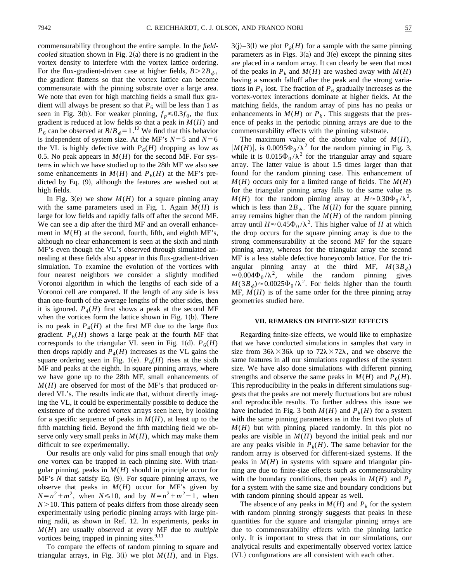commensurability throughout the entire sample. In the *fieldcooled* situation shown in Fig.  $2(a)$  there is no gradient in the vortex density to interfere with the vortex lattice ordering. For the flux-gradient-driven case at higher fields,  $B > 2B_{\phi}$ , the gradient flattens so that the vortex lattice can become commensurate with the pinning substrate over a large area. We note that even for high matching fields a small flux gradient will always be present so that  $P_6$  will be less than 1 as seen in Fig. 3(b). For weaker pinning,  $f_p \le 0.3 f_0$ , the flux gradient is reduced at low fields so that a peak in *M*(*H*) and  $P_6$  can be observed at  $B/B_{\phi} = 1$ .<sup>12</sup> We find that this behavior is independent of system size. At the MF's  $N=5$  and  $N=6$ the VL is highly defective with  $P_6(H)$  dropping as low as 0.5. No peak appears in  $M(H)$  for the second MF. For systems in which we have studied up to the 28th MF we also see some enhancements in  $M(H)$  and  $P_6(H)$  at the MF's predicted by Eq.  $(9)$ , although the features are washed out at high fields.

In Fig. 3(e) we show  $M(H)$  for a square pinning array with the same parameters used in Fig. 1. Again  $M(H)$  is large for low fields and rapidly falls off after the second MF. We can see a dip after the third MF and an overall enhancement in  $M(H)$  at the second, fourth, fifth, and eighth MF's, although no clear enhancement is seen at the sixth and ninth MF's even though the VL's observed through simulated annealing at these fields also appear in this flux-gradient-driven simulation. To examine the evolution of the vortices with four nearest neighbors we consider a slightly modified Voronoi algorithm in which the lengths of each side of a Voronoi cell are compared. If the length of any side is less than one-fourth of the average lengths of the other sides, then it is ignored.  $P_4(H)$  first shows a peak at the second MF when the vortices form the lattice shown in Fig.  $1(b)$ . There is no peak in  $P_4(H)$  at the first MF due to the large flux gradient.  $P_6(H)$  shows a large peak at the fourth MF that corresponds to the triangular VL seen in Fig. 1(d).  $P_6(H)$ then drops rapidly and  $P_4(H)$  increases as the VL gains the square ordering seen in Fig. 1(e).  $P_6(H)$  rises at the sixth MF and peaks at the eighth. In square pinning arrays, where we have gone up to the 28th MF, small enhancements of *M*(*H*) are observed for most of the MF's that produced ordered VL's. The results indicate that, without directly imaging the VL, it could be experimentally possible to deduce the existence of the ordered vortex arrays seen here, by looking for a specific sequence of peaks in  $M(H)$ , at least up to the fifth matching field. Beyond the fifth matching field we observe only very small peaks in  $M(H)$ , which may make them difficult to see experimentally.

Our results are only valid for pins small enough that *only one* vortex can be trapped in each pinning site. With triangular pinning, peaks in *M*(*H*) should in principle occur for  $MF's$  *N* that satisfy Eq.  $(9)$ . For square pinning arrays, we observe that peaks in  $M(H)$  occur for MF's given by  $N = n^2 + m^2$ , when  $N \le 10$ , and by  $N = n^2 + m^2 - 1$ , when  $N$   $>$  10. This pattern of peaks differs from those already seen experimentally using periodic pinning arrays with large pinning radii, as shown in Ref. 12. In experiments, peaks in *M*(*H*) are usually observed at every MF due to *multiple* vortices being trapped in pinning sites.<sup>9,11</sup>

To compare the effects of random pinning to square and triangular arrays, in Fig.  $3(i)$  we plot  $M(H)$ , and in Figs.  $3(j)$ –3(l) we plot  $P_k(H)$  for a sample with the same pinning parameters as in Figs.  $3(a)$  and  $3(e)$  except the pinning sites are placed in a random array. It can clearly be seen that most of the peaks in  $P_k$  and  $M(H)$  are washed away with  $M(H)$ having a smooth falloff after the peak and the strong variations in  $P_k$  lost. The fraction of  $P_6$  gradually increases as the vortex-vortex interactions dominate at higher fields. At the matching fields, the random array of pins has no peaks or enhancements in  $M(H)$  or  $P_k$ . This suggests that the presence of peaks in the periodic pinning arrays are due to the commensurability effects with the pinning substrate.

The maximum value of the absolute value of *M*(*H*),  $|M(H)|$ , is 0.0095 $\Phi_0/\lambda^2$  for the random pinning in Fig. 3, while it is  $0.015\Phi_0/\lambda^2$  for the triangular array and square array. The latter value is about 1.5 times larger than that found for the random pinning case. This enhancement of  $M(H)$  occurs only for a limited range of fields. The  $M(H)$ for the triangular pinning array falls to the same value as  $M(H)$  for the random pinning array at  $H \approx 0.30 \Phi_0 / \lambda^2$ , which is less than  $2B_{\phi}$ . The *M(H)* for the square pinning array remains higher than the  $M(H)$  of the random pinning array until  $H \approx 0.45\Phi_0/\lambda^2$ . This higher value of *H* at which the drop occurs for the square pinning array is due to the strong commensurability at the second MF for the square pinning array, whereas for the triangular array the second MF is a less stable defective honeycomb lattice. For the triangular pinning array at the third MF,  $M(3B<sub>\phi</sub>)$  $\approx 0.004\Phi_0/\lambda^2$ , while the random pinning gives  $M(3B_{\phi})\approx 0.0025\Phi_0/\lambda^2$ . For fields higher than the fourth  $MF, M(H)$  is of the same order for the three pinning array geometries studied here.

#### **VII. REMARKS ON FINITE-SIZE EFFECTS**

Regarding finite-size effects, we would like to emphasize that we have conducted simulations in samples that vary in size from  $36\lambda \times 36\lambda$  up to  $72\lambda \times 72\lambda$ , and we observe the same features in all our simulations regardless of the system size. We have also done simulations with different pinning strengths and observe the same peaks in  $M(H)$  and  $P_6(H)$ . This reproducibility in the peaks in different simulations suggests that the peaks are not merely fluctuations but are robust and reproducible results. To further address this issue we have included in Fig. 3 both  $M(H)$  and  $P_k(H)$  for a system with the same pinning parameters as in the first two plots of  $M(H)$  but with pinning placed randomly. In this plot no peaks are visible in  $M(H)$  beyond the initial peak and nor are any peaks visible in  $P_k(H)$ . The same behavior for the random array is observed for different-sized systems. If the peaks in  $M(H)$  in systems with square and triangular pinning are due to finite-size effects such as commensurability with the boundary conditions, then peaks in  $M(H)$  and  $P_k$ for a system with the same size and boundary conditions but with random pinning should appear as well.

The absence of any peaks in  $M(H)$  and  $P_k$  for the system with random pinning strongly suggests that peaks in these quantities for the square and triangular pinning arrays are due to commensurability effects with the pinning lattice only. It is important to stress that in our simulations, our analytical results and experimentally observed vortex lattice ~VL! configurations are all consistent with each other.